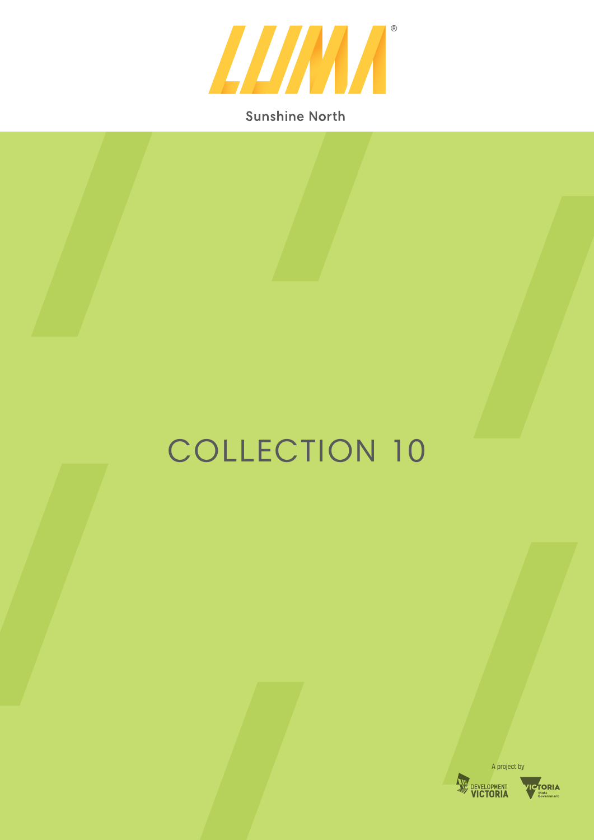

### **Sunshine North**

## COLLECTION 10



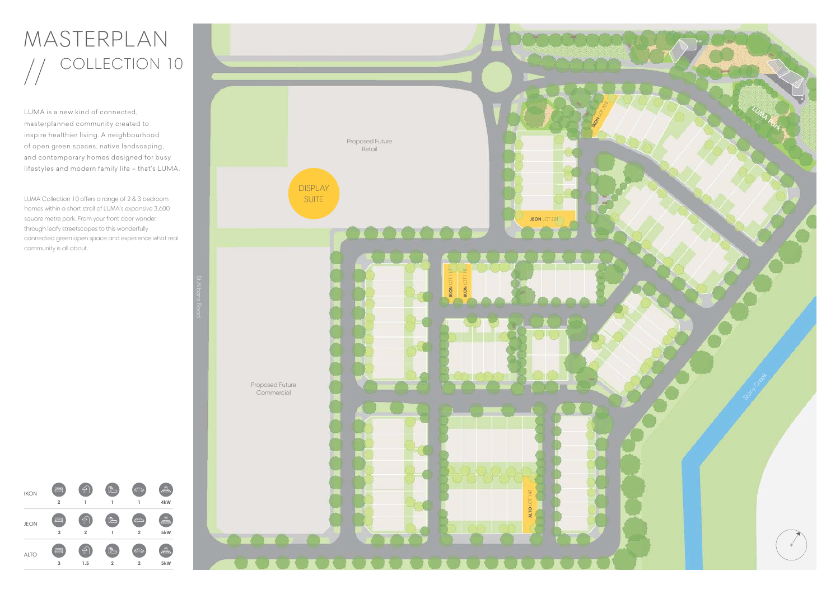# MASTERPLAN COLLECTION 10

LUMA is a new kind of connected, masterplanned community created to inspire healthier living. A neighbourhood of open green spaces, native landscaping, and contemporary homes designed for busy lifestyles and modern family life – that's LUMA.



LUMA Collection 10 offers a range of 2 & 3 bedroom homes within a short stroll of LUMA's expansive 3,600 square metre park. From your front door wander through leafy streetscapes to this wonderfully connected green open space and experience what real community is all about.